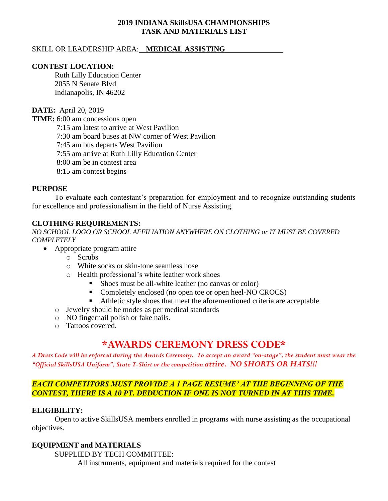## **2019 INDIANA SkillsUSA CHAMPIONSHIPS TASK AND MATERIALS LIST**

## SKILL OR LEADERSHIP AREA: **MEDICAL ASSISTING**

### **CONTEST LOCATION:**

Ruth Lilly Education Center 2055 N Senate Blvd Indianapolis, IN 46202

#### **DATE:** April 20, 2019

**TIME:** 6:00 am concessions open

7:15 am latest to arrive at West Pavilion

7:30 am board buses at NW corner of West Pavilion

7:45 am bus departs West Pavilion

7:55 am arrive at Ruth Lilly Education Center

8:00 am be in contest area

8:15 am contest begins

### **PURPOSE**

To evaluate each contestant's preparation for employment and to recognize outstanding students for excellence and professionalism in the field of Nurse Assisting.

### **CLOTHING REQUIREMENTS:**

*NO SCHOOL LOGO OR SCHOOL AFFILIATION ANYWHERE ON CLOTHING or IT MUST BE COVERED COMPLETELY*

- Appropriate program attire
	- o Scrubs
	- o White socks or skin-tone seamless hose
	- o Health professional's white leather work shoes
		- Shoes must be all-white leather (no canvas or color)
		- Completely enclosed (no open toe or open heel-NO CROCS)
		- Athletic style shoes that meet the aforementioned criteria are acceptable
	- o Jewelry should be modes as per medical standards
	- o NO fingernail polish or fake nails.
	- o Tattoos covered.

# **\*AWARDS CEREMONY DRESS CODE\***

*A Dress Code will be enforced during the Awards Ceremony. To accept an award "on-stage", the student must wear the "Official SkillsUSA Uniform", State T-Shirt or the competition attire. NO SHORTS OR HATS!!!*

# *EACH COMPETITORS MUST PROVIDE A 1 PAGE RESUME' AT THE BEGINNING OF THE CONTEST, THERE IS A 10 PT. DEDUCTION IF ONE IS NOT TURNED IN AT THIS TIME.*

### **ELIGIBILITY:**

Open to active SkillsUSA members enrolled in programs with nurse assisting as the occupational objectives.

### **EQUIPMENT and MATERIALS**

SUPPLIED BY TECH COMMITTEE:

All instruments, equipment and materials required for the contest